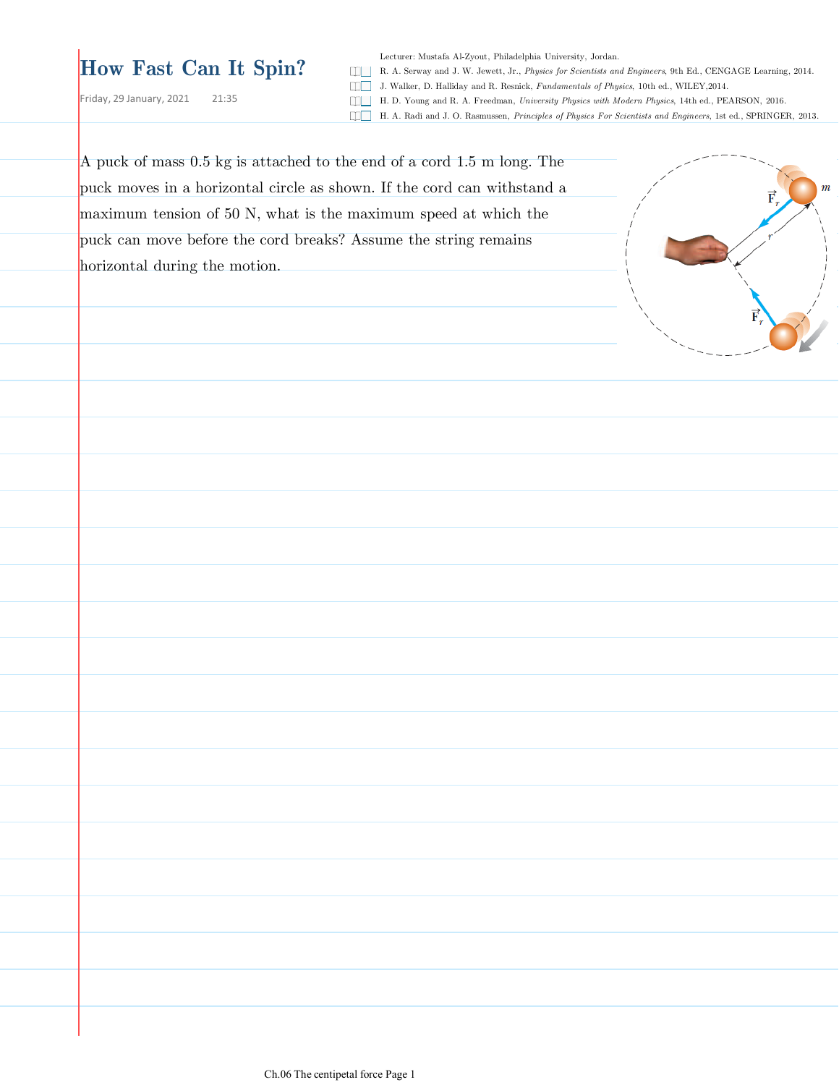## **How Fast Can It Spin?**

Lecturer: Mustafa Al-Zyout, Philadelphia University, Jordan.

R. A. Serway and J. W. Jewett, Jr., *Physics for Scientists and Engineers*, 9th Ed., CENGAGE Learning, 2014.

Friday, 29 January, 2021 21:35

J. Walker, D. Halliday and R. Resnick, *Fundamentals of Physics*, 10th ed., WILEY,2014. H. D. Young and R. A. Freedman, *University Physics with Modern Physics*, 14th ed., PEARSON, 2016.

H. A. Radi and J. O. Rasmussen, *Principles of Physics For Scientists and Engineers*, 1st ed., SPRINGER, 2013.

A puck of mass 0.5 kg is attached to the end of a cord 1.5 m long. The puck moves in a horizontal circle as shown. If the cord can withstand a maximum tension of 50 N, what is the maximum speed at which the puck can move before the cord breaks? Assume the string remains horizontal during the motion.

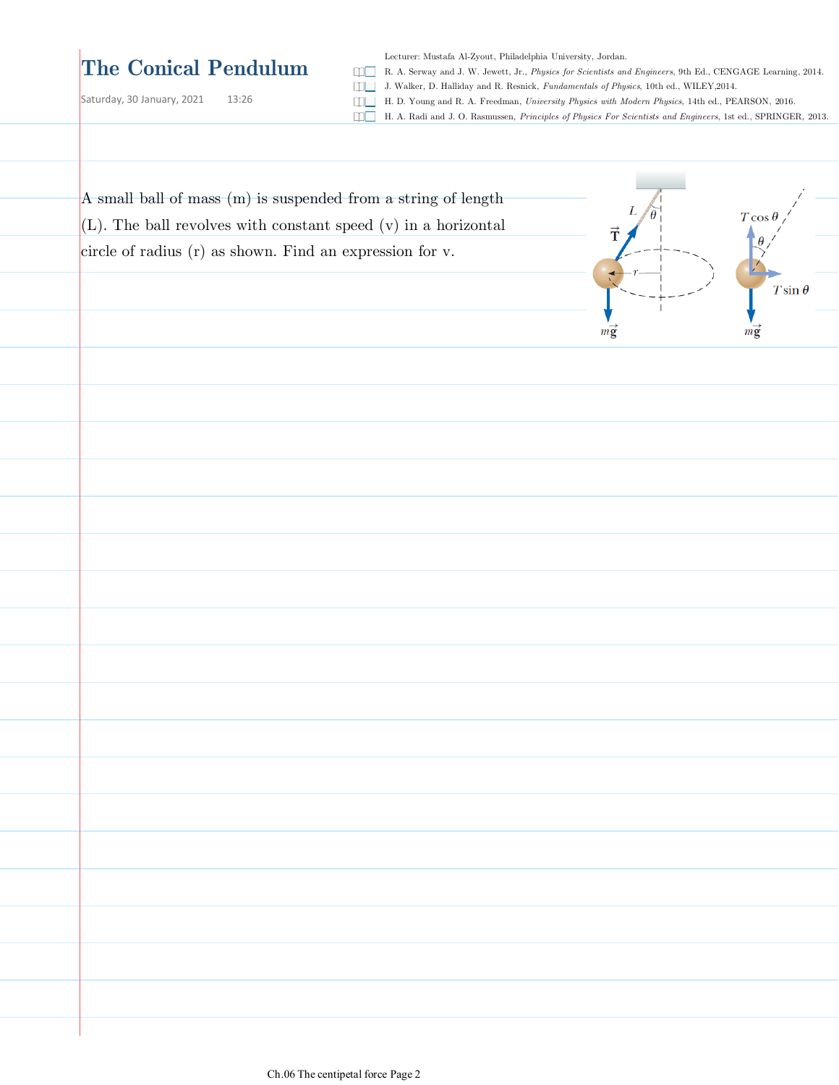## **The Conical Pendulum**

Saturday, 30 January, 2021 13:26

Lecturer: Mustafa Al-Zyout, Philadelphia University, Jordan.

R. A. Serway and J. W. Jewett, Jr., *Physics for Scientists and Engineers*, 9th Ed., CENGAGE Learning, 2014.

J. Walker, D. Halliday and R. Resnick, *Fundamentals of Physics*, 10th ed., WILEY,2014.

H. D. Young and R. A. Freedman, *University Physics with Modern Physics*, 14th ed., PEARSON, 2016.

H. A. Radi and J. O. Rasmussen, *Principles of Physics For Scientists and Engineers*, 1st ed., SPRINGER, 2013.

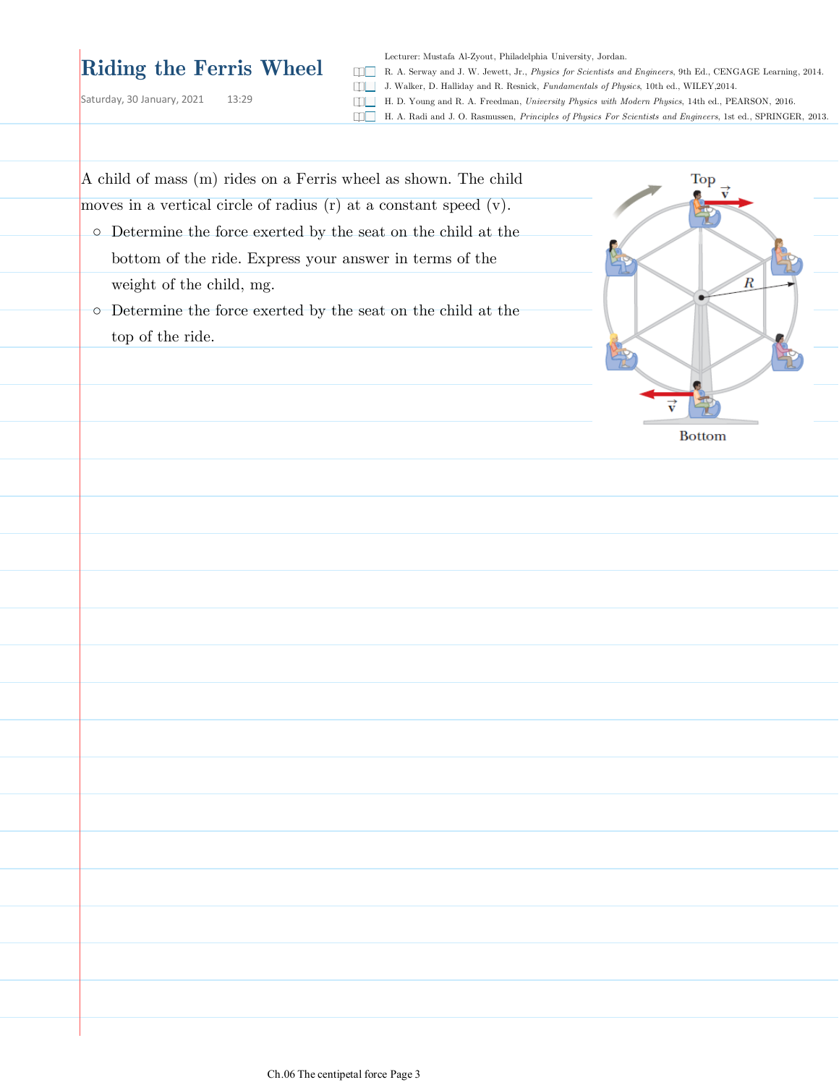## **Riding the Ferris Wheel**

Saturday, 30 January, 2021 13:29

Lecturer: Mustafa Al-Zyout, Philadelphia University, Jordan.

R. A. Serway and J. W. Jewett, Jr., *Physics for Scientists and Engineers*, 9th Ed., CENGAGE Learning, 2014. J. Walker, D. Halliday and R. Resnick, *Fundamentals of Physics*, 10th ed., WILEY,2014.

H. D. Young and R. A. Freedman, *University Physics with Modern Physics*, 14th ed., PEARSON, 2016.

H. A. Radi and J. O. Rasmussen, *Principles of Physics For Scientists and Engineers*, 1st ed., SPRINGER, 2013.

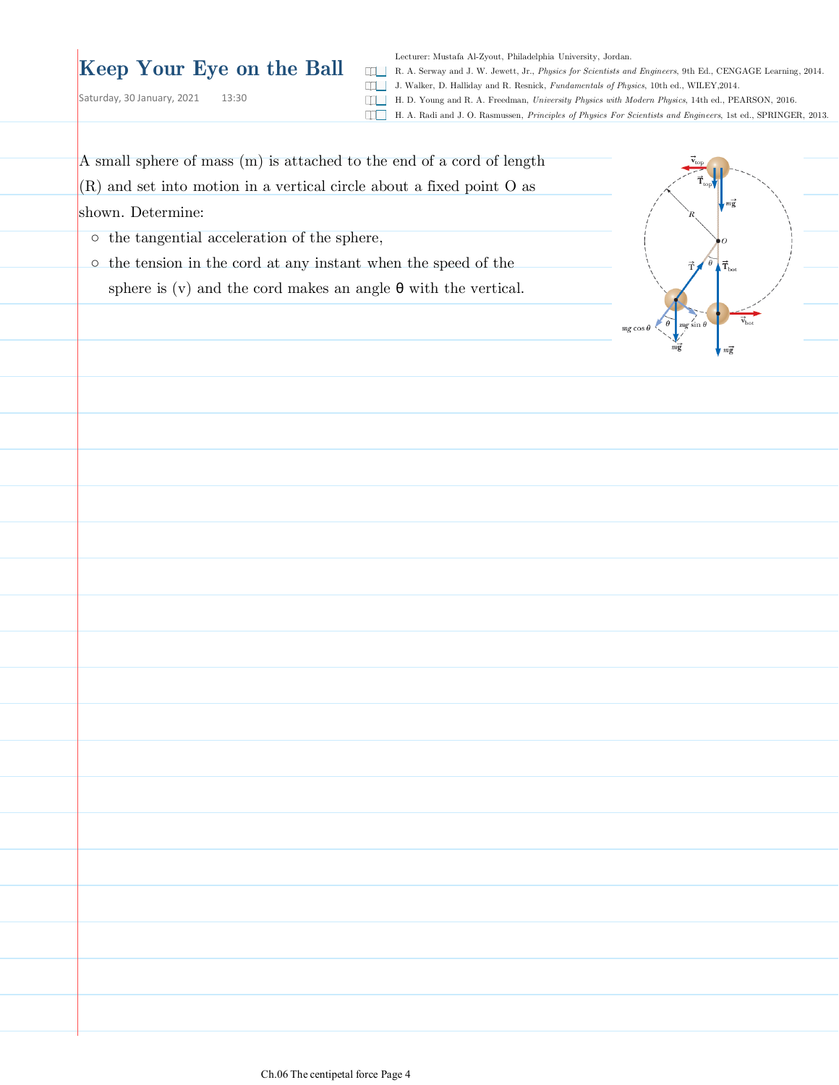## **Keep Your Eye on the Ball**

Saturday, 30 January, 2021 13:30

Lecturer: Mustafa Al-Zyout, Philadelphia University, Jordan.

R. A. Serway and J. W. Jewett, Jr., *Physics for Scientists and Engineers*, 9th Ed., CENGAGE Learning, 2014.

J. Walker, D. Halliday and R. Resnick, *Fundamentals of Physics*, 10th ed., WILEY,2014.

H. D. Young and R. A. Freedman, *University Physics with Modern Physics*, 14th ed., PEARSON, 2016.

H. A. Radi and J. O. Rasmussen, *Principles of Physics For Scientists and Engineers*, 1st ed., SPRINGER, 2013.

A small sphere of mass (m) is attached to the end of a cord of length  $(R)$  and set into motion in a vertical circle about a fixed point O as shown. Determine:

○ the tangential acceleration of the sphere,

o the tension in the cord at any instant when the speed of the sphere is (v) and the cord makes an angle  $\theta$  with the vertical.

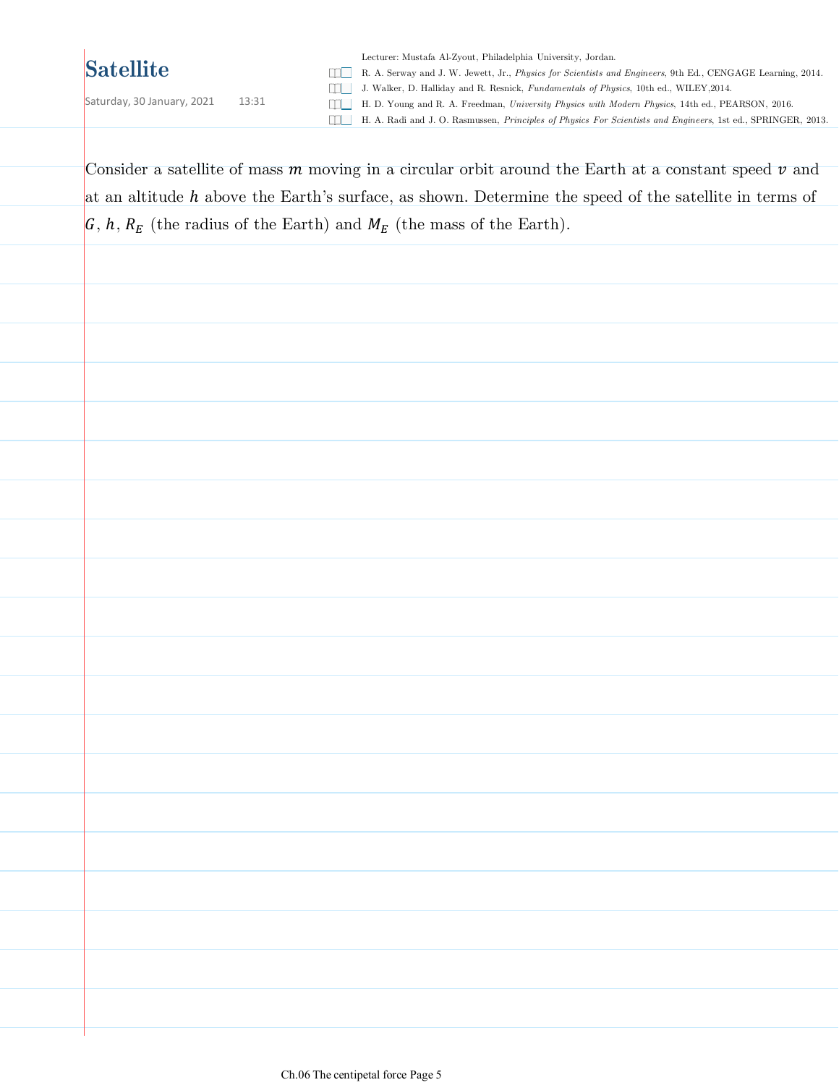Saturday, 30 January, 2021 13:31

Lecturer: Mustafa Al-Zyout, Philadelphia University, Jordan. R. A. Serway and J. W. Jewett, Jr., *Physics for Scientists and Engineers*, 9th Ed., CENGAGE Learning, 2014. J. Walker, D. Halliday and R. Resnick, *Fundamentals of Physics*, 10th ed., WILEY,2014. H. D. Young and R. A. Freedman, *University Physics with Modern Physics*, 14th ed., PEARSON, 2016. H. A. Radi and J. O. Rasmussen, *Principles of Physics For Scientists and Engineers*, 1st ed., SPRINGER, 2013.

Consider a satellite of mass  $m$  moving in a circular orbit around the Earth at a constant speed  $\nu$  and at an altitude  $h$  above the Earth's surface, as shown. Determine the speed of the satellite in terms of  $\mathcal{G}, h, R_E$  (the radius of the Earth) and  $M_E$  (the mass of the Earth).